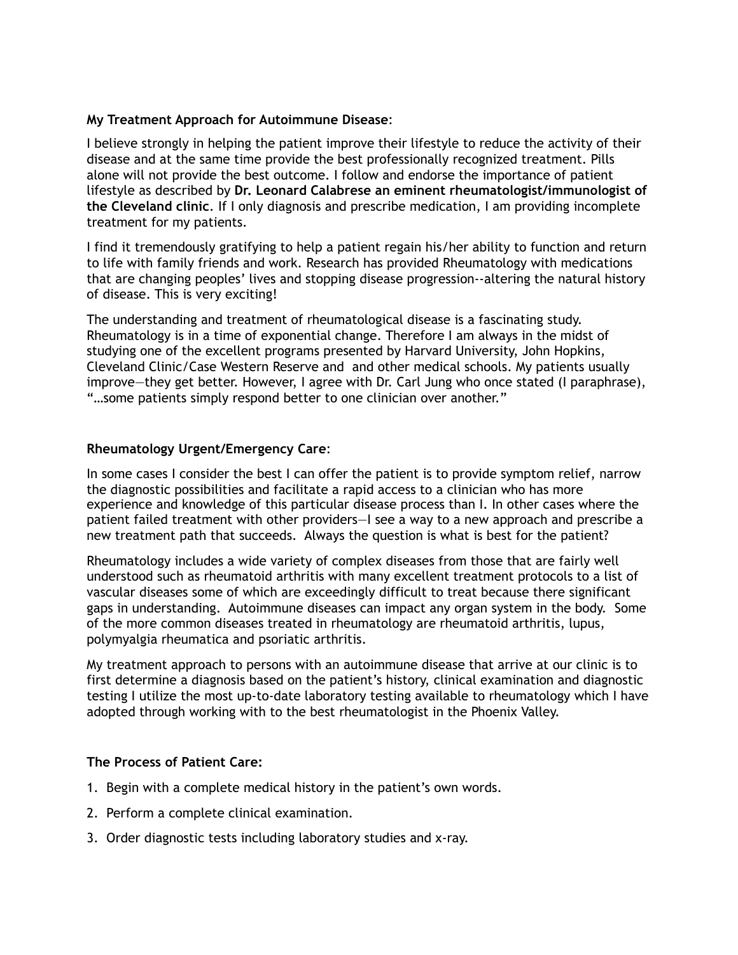## **My Treatment Approach for Autoimmune Disease**:

I believe strongly in helping the patient improve their lifestyle to reduce the activity of their disease and at the same time provide the best professionally recognized treatment. Pills alone will not provide the best outcome. I follow and endorse the importance of patient lifestyle as described by **Dr. Leonard Calabrese an eminent rheumatologist/immunologist of the Cleveland clinic**. If I only diagnosis and prescribe medication, I am providing incomplete treatment for my patients.

I find it tremendously gratifying to help a patient regain his/her ability to function and return to life with family friends and work. Research has provided Rheumatology with medications that are changing peoples' lives and stopping disease progression--altering the natural history of disease. This is very exciting!

The understanding and treatment of rheumatological disease is a fascinating study. Rheumatology is in a time of exponential change. Therefore I am always in the midst of studying one of the excellent programs presented by Harvard University, John Hopkins, Cleveland Clinic/Case Western Reserve and and other medical schools. My patients usually improve—they get better. However, I agree with Dr. Carl Jung who once stated (I paraphrase), "…some patients simply respond better to one clinician over another."

## **Rheumatology Urgent/Emergency Care**:

In some cases I consider the best I can offer the patient is to provide symptom relief, narrow the diagnostic possibilities and facilitate a rapid access to a clinician who has more experience and knowledge of this particular disease process than I. In other cases where the patient failed treatment with other providers—I see a way to a new approach and prescribe a new treatment path that succeeds. Always the question is what is best for the patient?

Rheumatology includes a wide variety of complex diseases from those that are fairly well understood such as rheumatoid arthritis with many excellent treatment protocols to a list of vascular diseases some of which are exceedingly difficult to treat because there significant gaps in understanding. Autoimmune diseases can impact any organ system in the body. Some of the more common diseases treated in rheumatology are rheumatoid arthritis, lupus, polymyalgia rheumatica and psoriatic arthritis.

My treatment approach to persons with an autoimmune disease that arrive at our clinic is to first determine a diagnosis based on the patient's history, clinical examination and diagnostic testing I utilize the most up-to-date laboratory testing available to rheumatology which I have adopted through working with to the best rheumatologist in the Phoenix Valley.

## **The Process of Patient Care:**

- 1. Begin with a complete medical history in the patient's own words.
- 2. Perform a complete clinical examination.
- 3. Order diagnostic tests including laboratory studies and x-ray.